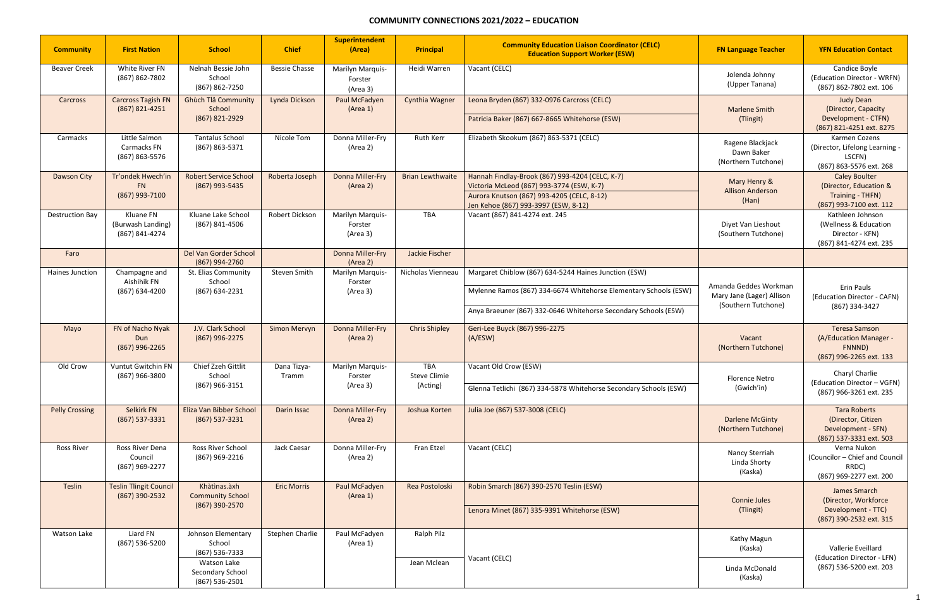## **COMMUNITY CONNECTIONS 2021/2022 – EDUCATION**

| <b>Community</b>       | <b>First Nation</b>                              | <b>School</b>                                     | <b>Chief</b>         | <b>Superintendent</b><br>(Area)         | <b>Principal</b>                              | <b>Community Education Liaison Coordinator (CELC)</b><br><b>Education Support Worker (ESW)</b> | <b>FN Language Teacher</b>                                                | <b>YFN Education Contact</b>                                                               |
|------------------------|--------------------------------------------------|---------------------------------------------------|----------------------|-----------------------------------------|-----------------------------------------------|------------------------------------------------------------------------------------------------|---------------------------------------------------------------------------|--------------------------------------------------------------------------------------------|
| <b>Beaver Creek</b>    | White River FN<br>(867) 862-7802                 | Nelnah Bessie John<br>School<br>(867) 862-7250    | <b>Bessie Chasse</b> | Marilyn Marquis-<br>Forster<br>(Area 3) | Heidi Warren                                  | Vacant (CELC)                                                                                  | Jolenda Johnny<br>(Upper Tanana)                                          | Candice Boyle<br>(Education Director - WRFN)<br>(867) 862-7802 ext. 106                    |
| Carcross               | <b>Carcross Tagish FN</b><br>(867) 821-4251      | <b>Ghùch Tlâ Community</b><br>School              | Lynda Dickson        | Paul McFadyen<br>(Area 1)               | <b>Cynthia Wagner</b>                         | Leona Bryden (867) 332-0976 Carcross (CELC)                                                    | <b>Marlene Smith</b>                                                      | <b>Judy Dean</b><br>(Director, Capacity                                                    |
|                        |                                                  | (867) 821-2929                                    |                      |                                         |                                               | Patricia Baker (867) 667-8665 Whitehorse (ESW)                                                 | (Tlingit)                                                                 | Development - CTFN)<br>(867) 821-4251 ext. 8275                                            |
| Carmacks               | Little Salmon<br>Carmacks FN<br>(867) 863-5576   | <b>Tantalus School</b><br>(867) 863-5371          | Nicole Tom           | Donna Miller-Fry<br>(Area 2)            | <b>Ruth Kerr</b>                              | Elizabeth Skookum (867) 863-5371 (CELC)                                                        | Ragene Blackjack<br>Dawn Baker<br>(Northern Tutchone)                     | Karmen Cozens<br>(Director, Lifelong Learning -<br>LSCFN)<br>(867) 863-5576 ext. 268       |
| Dawson City            | Tr'ondek Hwech'in<br><b>FN</b>                   | <b>Robert Service School</b><br>(867) 993-5435    | Roberta Joseph       | Donna Miller-Fry<br>(Area 2)            | <b>Brian Lewthwaite</b>                       | Hannah Findlay-Brook (867) 993-4204 (CELC, K-7)<br>Victoria McLeod (867) 993-3774 (ESW, K-7)   | Mary Henry &                                                              | <b>Caley Boulter</b><br>(Director, Education &                                             |
|                        | (867) 993-7100                                   |                                                   |                      |                                         |                                               | Aurora Knutson (867) 993-4205 (CELC, 8-12)<br>Jen Kehoe (867) 993-3997 (ESW, 8-12)             | <b>Allison Anderson</b><br>(Han)                                          | Training - THFN)<br>(867) 993-7100 ext. 112                                                |
| <b>Destruction Bay</b> | Kluane FN<br>(Burwash Landing)<br>(867) 841-4274 | Kluane Lake School<br>(867) 841-4506              | Robert Dickson       | Marilyn Marquis-<br>Forster<br>(Area 3) | <b>TBA</b>                                    | Vacant (867) 841-4274 ext. 245                                                                 | Diyet Van Lieshout<br>(Southern Tutchone)                                 | Kathleen Johnson<br>(Wellness & Education<br>Director - KFN)<br>(867) 841-4274 ext. 235    |
| Faro                   |                                                  | Del Van Gorder School<br>(867) 994-2760           |                      | Donna Miller-Fry<br>(Area 2)            | Jackie Fischer                                |                                                                                                |                                                                           |                                                                                            |
| Haines Junction        | Champagne and<br>Aishihik FN<br>(867) 634-4200   | St. Elias Community<br>School<br>(867) 634-2231   | Steven Smith         | Marilyn Marquis-<br>Forster<br>(Area 3) | Nicholas Vienneau                             | Margaret Chiblow (867) 634-5244 Haines Junction (ESW)                                          |                                                                           | Erin Pauls<br>(Education Director - CAFN)<br>(867) 334-3427                                |
|                        |                                                  |                                                   |                      |                                         |                                               | Mylenne Ramos (867) 334-6674 Whitehorse Elementary Schools (ESW)                               | Amanda Geddes Workman<br>Mary Jane (Lager) Allison<br>(Southern Tutchone) |                                                                                            |
|                        |                                                  |                                                   |                      |                                         |                                               | Anya Braeuner (867) 332-0646 Whitehorse Secondary Schools (ESW)                                |                                                                           |                                                                                            |
| Mayo                   | FN of Nacho Nyak<br>Dun<br>(867) 996-2265        | J.V. Clark School<br>(867) 996-2275               | Simon Mervyn         | Donna Miller-Fry<br>(Area 2)            | <b>Chris Shipley</b>                          | Geri-Lee Buyck (867) 996-2275<br>(A/ESW)                                                       | Vacant<br>(Northern Tutchone)                                             | <b>Teresa Samson</b><br>(A/Education Manager -<br>FNNND)<br>(867) 996-2265 ext. 133        |
| Old Crow               | Vuntut Gwitchin FN<br>(867) 966-3800             | Chief Zzeh Gittlit<br>School<br>$(867)$ 966-3151  | Dana Tizya-<br>Tramm | Marilyn Marquis-<br>Forster<br>(Area 3) | <b>TBA</b><br><b>Steve Climie</b><br>(Acting) | Vacant Old Crow (ESW)<br>Glenna Tetlichi (867) 334-5878 Whitehorse Secondary Schools (ESW)     | <b>Florence Netro</b><br>(Gwich'in)                                       | Charyl Charlie<br>(Education Director - VGFN)<br>(867) 966-3261 ext. 235                   |
| <b>Pelly Crossing</b>  | Selkirk FN<br>(867) 537-3331                     | Eliza Van Bibber School<br>(867) 537-3231         | Darin Issac          | <b>Donna Miller-Fry</b><br>(Area 2)     | Joshua Korten                                 | Julia Joe (867) 537-3008 (CELC)                                                                | <b>Darlene McGinty</b><br>(Northern Tutchone)                             | <b>Tara Roberts</b><br>(Director, Citizen<br>Development - SFN)<br>(867) 537-3331 ext. 503 |
| <b>Ross River</b>      | Ross River Dena<br>Council<br>(867) 969-2277     | Ross River School<br>(867) 969-2216               | Jack Caesar          | Donna Miller-Fry<br>(Area 2)            | Fran Etzel                                    | Vacant (CELC)                                                                                  | Nancy Sterriah<br>Linda Shorty<br>(Kaska)                                 | Verna Nukon<br>(Councilor - Chief and Council<br>RRDC)<br>(867) 969-2277 ext. 200          |
| Teslin                 | <b>Teslin Tlingit Council</b><br>(867) 390-2532  | Khàtìnas.àxh<br><b>Community School</b>           | <b>Eric Morris</b>   | Paul McFadyen<br>(Area 1)               | Rea Postoloski                                | Robin Smarch (867) 390-2570 Teslin (ESW)                                                       |                                                                           | James Smarch                                                                               |
|                        |                                                  | (867) 390-2570                                    |                      |                                         |                                               | Lenora Minet (867) 335-9391 Whitehorse (ESW)                                                   | <b>Connie Jules</b><br>(Tlingit)                                          | (Director, Workforce<br>Development - TTC)<br>(867) 390-2532 ext. 315                      |
| Watson Lake            | Liard FN<br>(867) 536-5200                       | Johnson Elementary<br>School<br>(867) 536-7333    | Stephen Charlie      | Paul McFadyen<br>(Area 1)               | Ralph Pilz                                    |                                                                                                | Kathy Magun<br>(Kaska)                                                    | Vallerie Eveillard<br>(Education Director - LFN)                                           |
|                        |                                                  | Watson Lake<br>Secondary School<br>(867) 536-2501 |                      | Jean Mclean                             | Vacant (CELC)                                 | Linda McDonald<br>(Kaska)                                                                      | (867) 536-5200 ext. 203                                                   |                                                                                            |